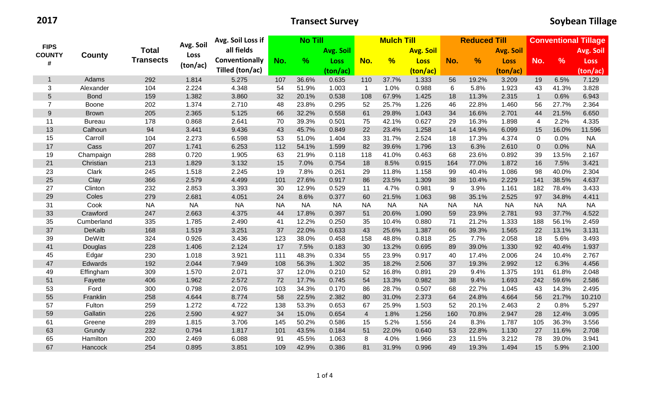**2017 Transect Survey Soybean Tillage**

| <b>FIPS</b><br><b>COUNTY</b><br># |               | <b>Total</b>     | Avg. Soil | <b>No Till</b><br>Avg. Soil Loss if |           |           |             |                | <b>Mulch Till</b> |                  |           | <b>Reduced Till</b> |                  | <b>Conventional Tillage</b> |           |             |  |
|-----------------------------------|---------------|------------------|-----------|-------------------------------------|-----------|-----------|-------------|----------------|-------------------|------------------|-----------|---------------------|------------------|-----------------------------|-----------|-------------|--|
|                                   |               |                  |           | all fields                          |           |           | Avg. Soil   |                |                   | <b>Avg. Soil</b> |           |                     | <b>Avg. Soil</b> |                             |           | Avg. Soil   |  |
|                                   | County        | <b>Transects</b> | Loss      | Conventionally                      | No.       | $\%$      | <b>Loss</b> | No.            | $\frac{9}{6}$     | <b>Loss</b>      | No.       | $\frac{9}{6}$       | <b>Loss</b>      | No.                         | $\%$      | <b>Loss</b> |  |
|                                   |               |                  | (ton/ac)  | Tilled (ton/ac)                     |           |           | (ton/ac)    |                |                   | (ton/ac)         |           |                     | (ton/ac)         |                             |           | (ton/ac)    |  |
| $\overline{1}$                    | Adams         | 292              | 1.814     | 5.275                               | 107       | 36.6%     | 0.635       | 110            | 37.7%             | 1.333            | 56        | 19.2%               | 3.209            | 19                          | 6.5%      | 7.129       |  |
| 3                                 | Alexander     | 104              | 2.224     | 4.348                               | 54        | 51.9%     | 1.003       | $\overline{1}$ | 1.0%              | 0.988            | 6         | 5.8%                | 1.923            | 43                          | 41.3%     | 3.828       |  |
| $\sqrt{5}$                        | <b>Bond</b>   | 159              | 1.382     | 3.860                               | 32        | 20.1%     | 0.538       | 108            | 67.9%             | 1.425            | 18        | 11.3%               | 2.315            | $\mathbf{1}$                | 0.6%      | 6.943       |  |
| $\overline{7}$                    | Boone         | 202              | 1.374     | 2.710                               | 48        | 23.8%     | 0.295       | 52             | 25.7%             | 1.226            | 46        | 22.8%               | 1.460            | 56                          | 27.7%     | 2.364       |  |
| $9\,$                             | <b>Brown</b>  | 205              | 2.365     | 5.125                               | 66        | 32.2%     | 0.558       | 61             | 29.8%             | 1.043            | 34        | 16.6%               | 2.701            | 44                          | 21.5%     | 6.650       |  |
| 11                                | <b>Bureau</b> | 178              | 0.868     | 2.641                               | 70        | 39.3%     | 0.501       | 75             | 42.1%             | 0.627            | 29        | 16.3%               | 1.898            | 4                           | 2.2%      | 4.335       |  |
| 13                                | Calhoun       | 94               | 3.441     | 9.436                               | 43        | 45.7%     | 0.849       | 22             | 23.4%             | 1.258            | 14        | 14.9%               | 6.099            | 15                          | 16.0%     | 11.596      |  |
| 15                                | Carroll       | 104              | 2.273     | 6.598                               | 53        | 51.0%     | 1.404       | 33             | 31.7%             | 2.524            | 18        | 17.3%               | 4.374            | 0                           | 0.0%      | <b>NA</b>   |  |
| 17                                | Cass          | 207              | 1.741     | 6.253                               | 112       | 54.1%     | 1.599       | 82             | 39.6%             | 1.796            | 13        | 6.3%                | 2.610            | $\mathbf 0$                 | 0.0%      | <b>NA</b>   |  |
| 19                                | Champaign     | 288              | 0.720     | 1.905                               | 63        | 21.9%     | 0.118       | 118            | 41.0%             | 0.463            | 68        | 23.6%               | 0.892            | 39                          | 13.5%     | 2.167       |  |
| 21                                | Christian     | 213              | 1.829     | 3.132                               | 15        | 7.0%      | 0.754       | 18             | 8.5%              | 0.915            | 164       | 77.0%               | 1.872            | 16                          | 7.5%      | 3.421       |  |
| 23                                | Clark         | 245              | 1.518     | 2.245                               | 19        | 7.8%      | 0.261       | 29             | 11.8%             | 1.158            | 99        | 40.4%               | 1.086            | 98                          | 40.0%     | 2.304       |  |
| 25                                | Clay          | 366              | 2.579     | 4.499                               | 101       | 27.6%     | 0.917       | 86             | 23.5%             | 1.309            | 38        | 10.4%               | 2.229            | 141                         | 38.5%     | 4.637       |  |
| 27                                | Clinton       | 232              | 2.853     | 3.393                               | 30        | 12.9%     | 0.529       | 11             | 4.7%              | 0.981            | 9         | 3.9%                | 1.161            | 182                         | 78.4%     | 3.433       |  |
| 29                                | Coles         | 279              | 2.681     | 4.051                               | 24        | 8.6%      | 0.377       | 60             | 21.5%             | 1.063            | 98        | 35.1%               | 2.525            | 97                          | 34.8%     | 4.411       |  |
| 31                                | Cook          | <b>NA</b>        | <b>NA</b> | <b>NA</b>                           | <b>NA</b> | <b>NA</b> | <b>NA</b>   | <b>NA</b>      | <b>NA</b>         | <b>NA</b>        | <b>NA</b> | <b>NA</b>           | <b>NA</b>        | <b>NA</b>                   | <b>NA</b> | <b>NA</b>   |  |
| 33                                | Crawford      | 247              | 2.663     | 4.375                               | 44        | 17.8%     | 0.397       | 51             | 20.6%             | 1.090            | 59        | 23.9%               | 2.781            | 93                          | 37.7%     | 4.522       |  |
| 35                                | Cumberland    | 335              | 1.785     | 2.490                               | 41        | 12.2%     | 0.250       | 35             | 10.4%             | 0.880            | 71        | 21.2%               | 1.333            | 188                         | 56.1%     | 2.459       |  |
| 37                                | DeKalb        | 168              | 1.519     | 3.251                               | 37        | 22.0%     | 0.633       | 43             | 25.6%             | 1.387            | 66        | 39.3%               | 1.565            | 22                          | 13.1%     | 3.131       |  |
| 39                                | <b>DeWitt</b> | 324              | 0.926     | 3.436                               | 123       | 38.0%     | 0.458       | 158            | 48.8%             | 0.818            | 25        | 7.7%                | 2.058            | 18                          | 5.6%      | 3.493       |  |
| 41                                | Douglas       | 228              | 1.406     | 2.124                               | 17        | 7.5%      | 0.183       | 30             | 13.2%             | 0.695            | 89        | 39.0%               | 1.330            | 92                          | 40.4%     | 1.937       |  |
| 45                                | Edgar         | 230              | 1.018     | 3.921                               | 111       | 48.3%     | 0.334       | 55             | 23.9%             | 0.917            | 40        | 17.4%               | 2.006            | 24                          | 10.4%     | 2.767       |  |
| 47                                | Edwards       | 192              | 2.044     | 7.949                               | 108       | 56.3%     | 1.302       | 35             | 18.2%             | 2.506            | 37        | 19.3%               | 2.992            | 12                          | 6.3%      | 4.456       |  |
| 49                                | Effingham     | 309              | 1.570     | 2.071                               | 37        | 12.0%     | 0.210       | 52             | 16.8%             | 0.891            | 29        | 9.4%                | 1.375            | 191                         | 61.8%     | 2.048       |  |
| 51                                | Fayette       | 406              | 1.962     | 2.572                               | 72        | 17.7%     | 0.745       | 54             | 13.3%             | 0.982            | 38        | 9.4%                | 1.693            | 242                         | 59.6%     | 2.586       |  |
| 53                                | Ford          | 300              | 0.798     | 2.076                               | 103       | 34.3%     | 0.170       | 86             | 28.7%             | 0.507            | 68        | 22.7%               | 1.045            | 43                          | 14.3%     | 2.495       |  |
| 55                                | Franklin      | 258              | 4.644     | 8.774                               | 58        | 22.5%     | 2.382       | 80             | 31.0%             | 2.373            | 64        | 24.8%               | 4.664            | 56                          | 21.7%     | 10.210      |  |
| 57                                | Fulton        | 259              | 1.272     | 4.722                               | 138       | 53.3%     | 0.653       | 67             | 25.9%             | 1.503            | 52        | 20.1%               | 2.463            | $\overline{2}$              | 0.8%      | 5.297       |  |
| 59                                | Gallatin      | 226              | 2.590     | 4.927                               | 34        | 15.0%     | 0.654       | $\overline{4}$ | 1.8%              | 1.256            | 160       | 70.8%               | 2.947            | 28                          | 12.4%     | 3.095       |  |
| 61                                | Greene        | 289              | 1.815     | 3.706                               | 145       | 50.2%     | 0.586       | 15             | 5.2%              | 1.556            | 24        | 8.3%                | 1.787            | 105                         | 36.3%     | 3.556       |  |
| 63                                | Grundy        | 232              | 0.794     | 1.817                               | 101       | 43.5%     | 0.184       | 51             | 22.0%             | 0.640            | 53        | 22.8%               | 1.130            | 27                          | 11.6%     | 2.708       |  |
| 65                                | Hamilton      | 200              | 2.469     | 6.088                               | 91        | 45.5%     | 1.063       | 8              | 4.0%              | 1.966            | 23        | 11.5%               | 3.212            | 78                          | 39.0%     | 3.941       |  |
| 67                                | Hancock       | 254              | 0.895     | 3.851                               | 109       | 42.9%     | 0.386       | 81             | 31.9%             | 0.996            | 49        | 19.3%               | 1.494            | 15                          | 5.9%      | 2.100       |  |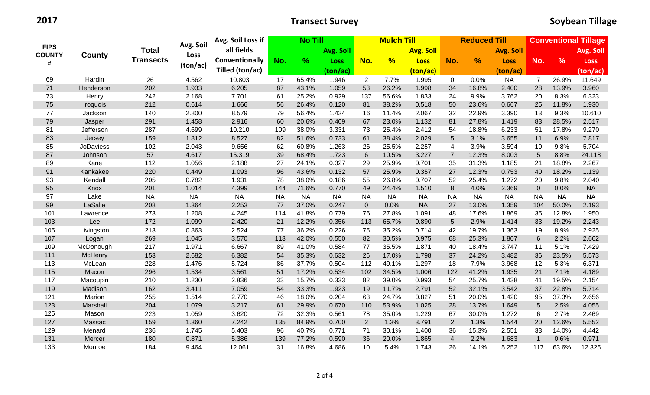**2017 Transect Survey Soybean Tillage**

| <b>FIPS</b><br><b>COUNTY</b><br># | County           | <b>Total</b>     | Avg. Soil | Avg. Soil Loss if | <b>No Till</b> |           |             |                | <b>Mulch Till</b> |             |                  | <b>Reduced Till</b> |                  | <b>Conventional Tillage</b> |           |             |  |
|-----------------------------------|------------------|------------------|-----------|-------------------|----------------|-----------|-------------|----------------|-------------------|-------------|------------------|---------------------|------------------|-----------------------------|-----------|-------------|--|
|                                   |                  |                  |           | all fields        |                |           | Avg. Soil   |                | <b>Avg. Soil</b>  |             |                  |                     | <b>Avg. Soil</b> |                             |           | Avg. Soil   |  |
|                                   |                  | <b>Transects</b> | Loss      | Conventionally    | No.            | %         | <b>Loss</b> | No.            | %                 | <b>Loss</b> | No.              | %                   | <b>Loss</b>      | No.                         | $\%$      | <b>Loss</b> |  |
|                                   |                  |                  | (ton/ac)  | Tilled (ton/ac)   |                |           | (ton/ac)    |                |                   | (ton/ac)    |                  |                     | (ton/ac)         |                             |           | (ton/ac)    |  |
| 69                                | Hardin           | 26               | 4.562     | 10.803            | 17             | 65.4%     | 1.946       | 2              | 7.7%              | 1.995       | $\boldsymbol{0}$ | 0.0%                | <b>NA</b>        | $\overline{7}$              | 26.9%     | 11.649      |  |
| 71                                | Henderson        | 202              | 1.933     | 6.205             | 87             | 43.1%     | 1.059       | 53             | 26.2%             | 1.998       | 34               | 16.8%               | 2.400            | 28                          | 13.9%     | 3.960       |  |
| 73                                | Henry            | 242              | 2.168     | 7.701             | 61             | 25.2%     | 0.929       | 137            | 56.6%             | 1.833       | 24               | 9.9%                | 3.762            | 20                          | 8.3%      | 6.323       |  |
| 75                                | Iroquois         | 212              | 0.614     | 1.666             | 56             | 26.4%     | 0.120       | 81             | 38.2%             | 0.518       | 50               | 23.6%               | 0.667            | 25                          | 11.8%     | 1.930       |  |
| 77                                | Jackson          | 140              | 2.800     | 8.579             | 79             | 56.4%     | 1.424       | 16             | 11.4%             | 2.067       | 32               | 22.9%               | 3.390            | 13                          | 9.3%      | 10.610      |  |
| 79                                | Jasper           | 291              | 1.458     | 2.916             | 60             | 20.6%     | 0.409       | 67             | 23.0%             | 1.132       | 81               | 27.8%               | 1.419            | 83                          | 28.5%     | 2.517       |  |
| 81                                | Jefferson        | 287              | 4.699     | 10.210            | 109            | 38.0%     | 3.331       | 73             | 25.4%             | 2.412       | 54               | 18.8%               | 6.233            | 51                          | 17.8%     | 9.270       |  |
| 83                                | Jersey           | 159              | 1.812     | 8.527             | 82             | 51.6%     | 0.733       | 61             | 38.4%             | 2.029       | $\overline{5}$   | 3.1%                | 3.655            | 11                          | 6.9%      | 7.817       |  |
| 85                                | <b>JoDaviess</b> | 102              | 2.043     | 9.656             | 62             | 60.8%     | 1.263       | 26             | 25.5%             | 2.257       | $\overline{4}$   | 3.9%                | 3.594            | 10                          | 9.8%      | 5.704       |  |
| 87                                | Johnson          | 57               | 4.617     | 15.319            | 39             | 68.4%     | 1.723       | $6\,$          | 10.5%             | 3.227       | $\overline{7}$   | 12.3%               | 8.003            | 5                           | 8.8%      | 24.118      |  |
| 89                                | Kane             | 112              | 1.056     | 2.188             | 27             | 24.1%     | 0.327       | 29             | 25.9%             | 0.701       | 35               | 31.3%               | 1.185            | 21                          | 18.8%     | 2.267       |  |
| 91                                | Kankakee         | 220              | 0.449     | 1.093             | 96             | 43.6%     | 0.132       | 57             | 25.9%             | 0.357       | 27               | 12.3%               | 0.753            | 40                          | 18.2%     | 1.139       |  |
| 93                                | Kendall          | 205              | 0.782     | 1.931             | 78             | 38.0%     | 0.186       | 55             | 26.8%             | 0.707       | 52               | 25.4%               | 1.272            | 20                          | 9.8%      | 2.040       |  |
| 95                                | Knox             | 201              | 1.014     | 4.399             | 144            | 71.6%     | 0.770       | 49             | 24.4%             | 1.510       | $\bf 8$          | 4.0%                | 2.369            | $\overline{0}$              | 0.0%      | <b>NA</b>   |  |
| 97                                | Lake             | <b>NA</b>        | $\sf NA$  | <b>NA</b>         | <b>NA</b>      | <b>NA</b> | <b>NA</b>   | <b>NA</b>      | <b>NA</b>         | <b>NA</b>   | <b>NA</b>        | <b>NA</b>           | <b>NA</b>        | <b>NA</b>                   | <b>NA</b> | <b>NA</b>   |  |
| 99                                | LaSalle          | 208              | 1.364     | 2.253             | 77             | 37.0%     | 0.247       | $\mathbf 0$    | 0.0%              | <b>NA</b>   | 27               | 13.0%               | 1.359            | 104                         | 50.0%     | 2.193       |  |
| 101                               | Lawrence         | 273              | 1.208     | 4.245             | 114            | 41.8%     | 0.779       | 76             | 27.8%             | 1.091       | 48               | 17.6%               | 1.869            | 35                          | 12.8%     | 1.950       |  |
| 103                               | Lee              | 172              | 1.099     | 2.420             | 21             | 12.2%     | 0.356       | 113            | 65.7%             | 0.890       | $\sqrt{5}$       | 2.9%                | 1.414            | 33                          | 19.2%     | 2.243       |  |
| 105                               | Livingston       | 213              | 0.863     | 2.524             | 77             | 36.2%     | 0.226       | 75             | 35.2%             | 0.714       | 42               | 19.7%               | 1.363            | 19                          | 8.9%      | 2.925       |  |
| 107                               | Logan            | 269              | 1.045     | 3.570             | 113            | 42.0%     | 0.550       | 82             | 30.5%             | 0.975       | 68               | 25.3%               | 1.807            | 6                           | 2.2%      | 2.662       |  |
| 109                               | McDonough        | 217              | 1.971     | 6.667             | 89             | 41.0%     | 0.584       | 77             | 35.5%             | 1.871       | 40               | 18.4%               | 3.747            | 11                          | 5.1%      | 7.429       |  |
| 111                               | McHenry          | 153              | 2.682     | 6.382             | 54             | 35.3%     | 0.632       | 26             | 17.0%             | 1.798       | 37               | 24.2%               | 3.482            | 36                          | 23.5%     | 5.573       |  |
| 113                               | McLean           | 228              | 1.476     | 5.724             | 86             | 37.7%     | 0.504       | 112            | 49.1%             | 1.297       | 18               | 7.9%                | 3.968            | 12                          | 5.3%      | 6.371       |  |
| 115                               | Macon            | 296              | 1.534     | 3.561             | 51             | 17.2%     | 0.534       | 102            | 34.5%             | 1.006       | 122              | 41.2%               | 1.935            | 21                          | 7.1%      | 4.189       |  |
| 117                               | Macoupin         | 210              | 1.230     | 2.836             | 33             | 15.7%     | 0.333       | 82             | 39.0%             | 0.993       | 54               | 25.7%               | 1.438            | 41                          | 19.5%     | 2.154       |  |
| 119                               | Madison          | 162              | 3.411     | 7.059             | 54             | 33.3%     | 1.923       | 19             | 11.7%             | 2.791       | 52               | 32.1%               | 3.542            | 37                          | 22.8%     | 5.714       |  |
| 121                               | Marion           | 255              | 1.514     | 2.770             | 46             | 18.0%     | 0.204       | 63             | 24.7%             | 0.827       | 51               | 20.0%               | 1.420            | 95                          | 37.3%     | 2.656       |  |
| 123                               | Marshall         | 204              | 1.079     | 3.217             | 61             | 29.9%     | 0.670       | 110            | 53.9%             | 1.025       | 28               | 13.7%               | 1.649            | 5                           | 2.5%      | 4.055       |  |
| 125                               | Mason            | 223              | 1.059     | 3.620             | 72             | 32.3%     | 0.561       | 78             | 35.0%             | 1.229       | 67               | 30.0%               | 1.272            | 6                           | 2.7%      | 2.469       |  |
| 127                               | Massac           | 159              | 1.360     | 7.242             | 135            | 84.9%     | 0.700       | $\overline{2}$ | 1.3%              | 3.791       | 2                | 1.3%                | 1.544            | 20                          | 12.6%     | 5.552       |  |
| 129                               | Menard           | 236              | 1.745     | 5.403             | 96             | 40.7%     | 0.771       | 71             | 30.1%             | 1.400       | 36               | 15.3%               | 2.551            | 33                          | 14.0%     | 4.442       |  |
| 131                               | Mercer           | 180              | 0.871     | 5.386             | 139            | 77.2%     | 0.590       | 36             | 20.0%             | 1.865       | $\overline{4}$   | 2.2%                | 1.683            | $\mathbf{1}$                | 0.6%      | 0.971       |  |
| 133                               | Monroe           | 184              | 9.464     | 12.061            | 31             | 16.8%     | 4.686       | 10             | 5.4%              | 1.743       | 26               | 14.1%               | 5.252            | 117                         | 63.6%     | 12.325      |  |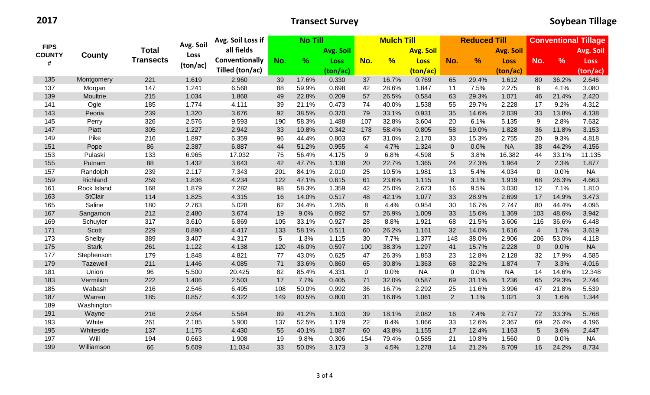**2017 Transect Survey Soybean Tillage**

| <b>FIPS</b><br><b>COUNTY</b> |                | <b>Total</b>     | Avg. Soil | Avg. Soil Loss if<br><b>No Till</b> |     |       |             | <b>Mulch Till</b> |               |                  | <b>Reduced Till</b> |                  | <b>Conventional Tillage</b> |                 |       |             |
|------------------------------|----------------|------------------|-----------|-------------------------------------|-----|-------|-------------|-------------------|---------------|------------------|---------------------|------------------|-----------------------------|-----------------|-------|-------------|
|                              |                |                  |           | all fields                          |     |       | Avg. Soil   |                   |               | <b>Avg. Soil</b> |                     | <b>Avg. Soil</b> |                             |                 |       | Avg. Soil   |
| #                            | County         | <b>Transects</b> | Loss      | Conventionally                      | No. | %     | <b>Loss</b> | No.               | $\frac{9}{6}$ | <b>Loss</b>      | No.                 | $\frac{9}{6}$    | <b>Loss</b>                 | No.             | $\%$  | <b>Loss</b> |
|                              |                |                  | (ton/ac)  | Tilled (ton/ac)                     |     |       | (ton/ac)    |                   |               | (ton/ac)         |                     |                  | (ton/ac)                    |                 |       | (ton/ac)    |
| 135                          | Montgomery     | 221              | 1.619     | 2.960                               | 39  | 17.6% | 0.330       | 37                | 16.7%         | 0.769            | 65                  | 29.4%            | 1.612                       | 80              | 36.2% | 2.646       |
| 137                          | Morgan         | 147              | 1.241     | 6.568                               | 88  | 59.9% | 0.698       | 42                | 28.6%         | 1.847            | 11                  | 7.5%             | 2.275                       | 6               | 4.1%  | 3.080       |
| 139                          | Moultrie       | 215              | 1.034     | 1.868                               | 49  | 22.8% | 0.209       | 57                | 26.5%         | 0.584            | 63                  | 29.3%            | 1.071                       | 46              | 21.4% | 2.420       |
| 141                          | Ogle           | 185              | 1.774     | 4.111                               | 39  | 21.1% | 0.473       | 74                | 40.0%         | 1.538            | 55                  | 29.7%            | 2.228                       | 17              | 9.2%  | 4.312       |
| 143                          | Peoria         | 239              | 1.320     | 3.676                               | 92  | 38.5% | 0.370       | 79                | 33.1%         | 0.931            | 35                  | 14.6%            | 2.039                       | 33              | 13.8% | 4.138       |
| 145                          | Perry          | 326              | 2.576     | 9.593                               | 190 | 58.3% | 1.488       | 107               | 32.8%         | 3.604            | 20                  | 6.1%             | 5.135                       | 9               | 2.8%  | 7.632       |
| 147                          | Piatt          | 305              | 1.227     | 2.942                               | 33  | 10.8% | 0.342       | 178               | 58.4%         | 0.805            | 58                  | 19.0%            | 1.828                       | 36              | 11.8% | 3.153       |
| 149                          | Pike           | 216              | 1.897     | 6.359                               | 96  | 44.4% | 0.803       | 67                | 31.0%         | 2.170            | 33                  | 15.3%            | 2.755                       | 20              | 9.3%  | 4.818       |
| 151                          | Pope           | 86               | 2.387     | 6.887                               | 44  | 51.2% | 0.955       | $\overline{4}$    | 4.7%          | 1.324            | $\mathbf 0$         | 0.0%             | <b>NA</b>                   | 38              | 44.2% | 4.156       |
| 153                          | Pulaski        | 133              | 6.965     | 17.032                              | 75  | 56.4% | 4.175       | 9                 | 6.8%          | 4.598            | $5\phantom{.0}$     | 3.8%             | 16.382                      | 44              | 33.1% | 11.135      |
| 155                          | Putnam         | 88               | 1.432     | 3.643                               | 42  | 47.7% | 1.138       | 20                | 22.7%         | 1.365            | 24                  | 27.3%            | 1.964                       | $\overline{2}$  | 2.3%  | 1.877       |
| 157                          | Randolph       | 239              | 2.117     | 7.343                               | 201 | 84.1% | 2.010       | 25                | 10.5%         | 1.981            | 13                  | 5.4%             | 4.034                       | $\mathbf 0$     | 0.0%  | <b>NA</b>   |
| 159                          | Richland       | 259              | 1.836     | 4.234                               | 122 | 47.1% | 0.615       | 61                | 23.6%         | 1.115            | 8                   | 3.1%             | 1.919                       | 68              | 26.3% | 4.663       |
| 161                          | Rock Island    | 168              | 1.879     | 7.282                               | 98  | 58.3% | 1.359       | 42                | 25.0%         | 2.673            | 16                  | 9.5%             | 3.030                       | 12              | 7.1%  | 1.810       |
| 163                          | <b>StClair</b> | 114              | 1.825     | 4.315                               | 16  | 14.0% | 0.517       | 48                | 42.1%         | 1.077            | 33                  | 28.9%            | 2.699                       | 17              | 14.9% | 3.473       |
| 165                          | Saline         | 180              | 2.763     | 5.028                               | 62  | 34.4% | 1.285       | 8                 | 4.4%          | 0.954            | 30                  | 16.7%            | 2.747                       | 80              | 44.4% | 4.095       |
| 167                          | Sangamon       | 212              | 2.480     | 3.674                               | 19  | 9.0%  | 0.892       | 57                | 26.9%         | 1.009            | 33                  | 15.6%            | 1.369                       | 103             | 48.6% | 3.942       |
| 169                          | Schuyler       | 317              | 3.610     | 6.869                               | 105 | 33.1% | 0.927       | 28                | 8.8%          | 1.921            | 68                  | 21.5%            | 3.606                       | 116             | 36.6% | 6.448       |
| 171                          | Scott          | 229              | 0.890     | 4.417                               | 133 | 58.1% | 0.511       | 60                | 26.2%         | 1.161            | 32                  | 14.0%            | 1.616                       | $\overline{4}$  | 1.7%  | 3.619       |
| 173                          | Shelby         | 389              | 3.407     | 4.317                               | 5   | 1.3%  | 1.115       | 30                | 7.7%          | 1.377            | 148                 | 38.0%            | 2.906                       | 206             | 53.0% | 4.118       |
| 175                          | <b>Stark</b>   | 261              | 1.122     | 4.138                               | 120 | 46.0% | 0.597       | 100               | 38.3%         | 1.297            | 41                  | 15.7%            | 2.228                       | $\overline{0}$  | 0.0%  | <b>NA</b>   |
| 177                          | Stephenson     | 179              | 1.848     | 4.821                               | 77  | 43.0% | 0.625       | 47                | 26.3%         | 1.853            | 23                  | 12.8%            | 2.128                       | 32              | 17.9% | 4.585       |
| 179                          | Tazewell       | 211              | 1.446     | 4.085                               | 71  | 33.6% | 0.860       | 65                | 30.8%         | 1.363            | 68                  | 32.2%            | 1.874                       | $\overline{7}$  | 3.3%  | 4.016       |
| 181                          | Union          | 96               | 5.500     | 20.425                              | 82  | 85.4% | 4.331       | $\mathbf 0$       | 0.0%          | <b>NA</b>        | $\mathbf 0$         | 0.0%             | <b>NA</b>                   | 14              | 14.6% | 12.348      |
| 183                          | Vermilion      | 222              | 1.406     | 2.503                               | 17  | 7.7%  | 0.405       | 71                | 32.0%         | 0.587            | 69                  | 31.1%            | 1.236                       | 65              | 29.3% | 2.744       |
| 185                          | Wabash         | 216              | 2.546     | 6.495                               | 108 | 50.0% | 0.992       | 36                | 16.7%         | 2.292            | 25                  | 11.6%            | 3.996                       | 47              | 21.8% | 5.539       |
| 187                          | Warren         | 185              | 0.857     | 4.322                               | 149 | 80.5% | 0.800       | 31                | 16.8%         | 1.061            | 2                   | 1.1%             | 1.021                       | $\mathbf{3}$    | 1.6%  | 1.344       |
| 189                          | Washington     |                  |           |                                     |     |       |             |                   |               |                  |                     |                  |                             |                 |       |             |
| 191                          | Wayne          | 216              | 2.954     | 5.564                               | 89  | 41.2% | 1.103       | 39                | 18.1%         | 2.082            | 16                  | 7.4%             | 2.717                       | 72              | 33.3% | 5.768       |
| 193                          | White          | 261              | 2.185     | 5.900                               | 137 | 52.5% | 1.179       | 22                | 8.4%          | 1.866            | 33                  | 12.6%            | 2.367                       | 69              | 26.4% | 4.196       |
| 195                          | Whiteside      | 137              | 1.175     | 4.430                               | 55  | 40.1% | 1.087       | 60                | 43.8%         | 1.155            | 17                  | 12.4%            | 1.163                       | $5\phantom{.0}$ | 3.6%  | 2.447       |
| 197                          | Will           | 194              | 0.663     | 1.908                               | 19  | 9.8%  | 0.306       | 154               | 79.4%         | 0.585            | 21                  | 10.8%            | 1.560                       | $\Omega$        | 0.0%  | <b>NA</b>   |
| 199                          | Williamson     | 66               | 5.609     | 11.034                              | 33  | 50.0% | 3.173       | 3                 | 4.5%          | 1.278            | 14                  | 21.2%            | 8.709                       | 16              | 24.2% | 8.734       |